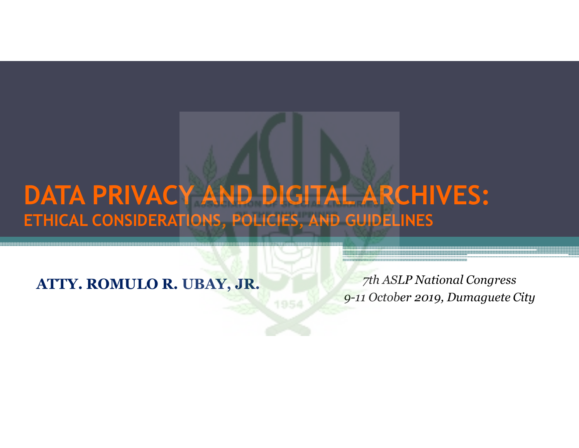### **DATA PRIVACY AND DIGITAL ARCHIVES:ETHICAL CONSIDERATIONS, POLICIES, AND GUIDELINES**

1954

**ATTY. ROMULO R. UBAY, JR.**

 *7th ASLP National Congress 9-11 October 2019, Dumaguete City*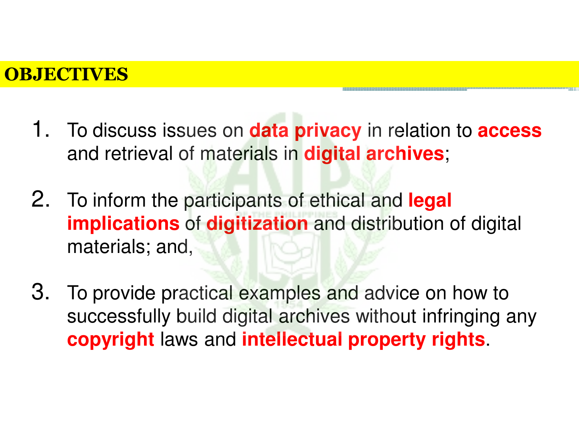#### **OBJECTIVES**<u>2</u><br>2001 – Andre Barnett, senator politik i politik i politik i politik i politik i politik i politik i politik i p

- 1. To discuss issues on **data privacy** in relation to **access**  and retrieval of materials in **digital archives**;
- 2. To inform the participants of ethical and **legal implications** of **digitization** and distribution of digital materials; and,
- 3. To provide practical examples and advice on how to successfully build digital archives without infringing any **copyright** laws and **intellectual property rights**.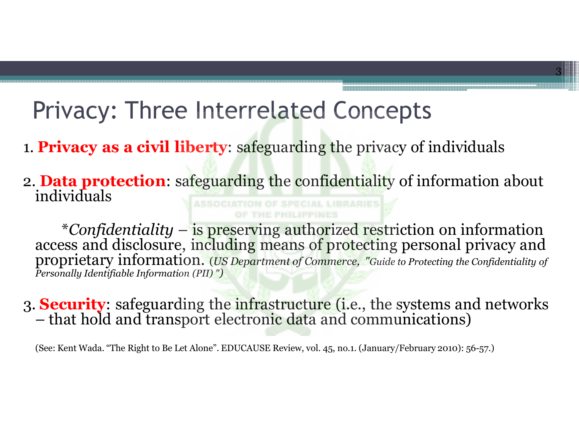### Privacy: Three Interrelated Concepts

- 1. **Privacy as a civil liberty**: safeguarding the privacy of individuals
- 2. **Data protection**: safeguarding the confidentiality of information about individuals

3

\*Confidentiality – is preserving authorized restriction on information access and disclosure, including means of protecting personal privacy and proprietary information. (Us Department of Commerce, "Guide to Protecting th *Personally Identifiable Information (PII) ")*

#### 3. **Security**: safeguarding the infrastructure (i.e., the systems and networks –- that hold and transport electronic data and communications)

(See: Kent Wada. "The Right to Be Let Alone". EDUCAUSE Review, vol. 45, no.1. (January/February 2010): 56-57.)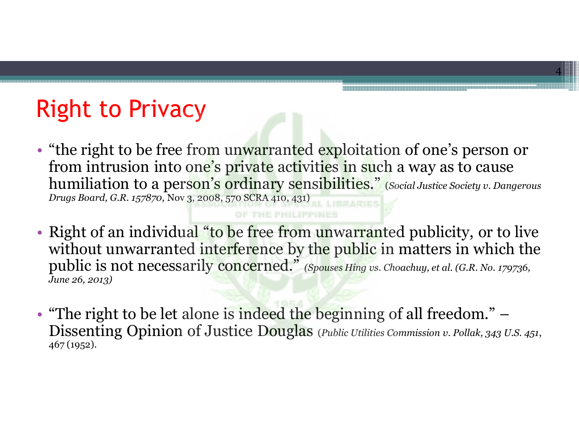### Right to Privacy

• "the right to be free from unwarranted exploitation of one's person or from intrusion into one's private activities in such a way as to cause humiliation to a person's ordinary sensibilities." (*Social Justice Society v. Dangerous Drugs Board, G.R. 157870*, Nov 3, 2008, 570 SCRA 410, 431)

- Right of an individual "to be free from unwarranted publicity, or to live without unwarranted interference by the public in matters in which the public is not necessarily concerned." *(Spouses Hing vs. Choachuy, et al. (G.R. No. 179736, June 26, 2013)*
- "The right to be let alone is indeed the beginning of all freedom." – Dissenting Opinion of Justice Douglas (*Public Utilities Commission v. Pollak, 343 U.S. 451*, 467 (1952).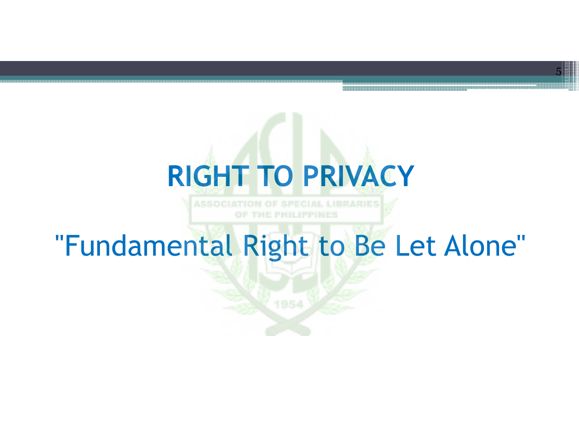# **RIGHT TO PRIVACY**

5

SOCIATION OF SPECIAL LIBRARIES

## "Fundamental Right to Be Let Alone"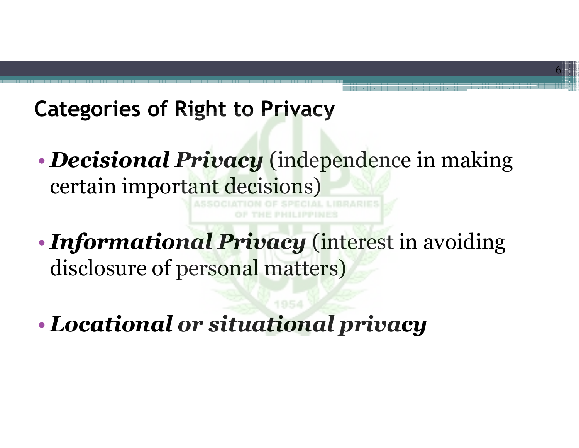### **Categories of Right to Privacy**

• *Decisional Privacy*  (independence in making certain important decisions)

- • *Informational Privacy*  (interest in avoiding disclosure of personal matters)
- •*Locational or situational privacy*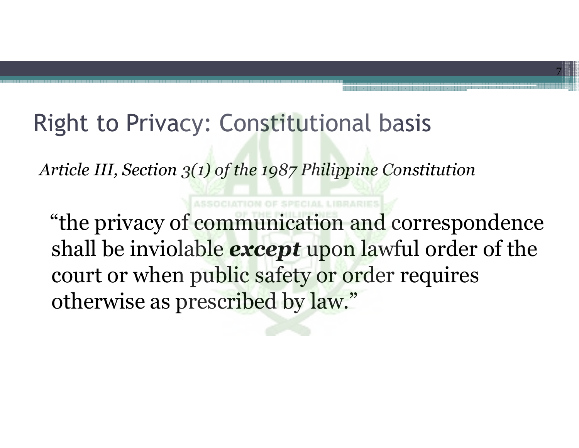### Right to Privacy: Constitutional basis

*Article III, Section 3(1) of the 1987 Philippine Constitution* 

"the privacy of communication and correspondence shall be inviolable *except* upon lawful order of the court or when public safety or order requires otherwise as prescribed by law."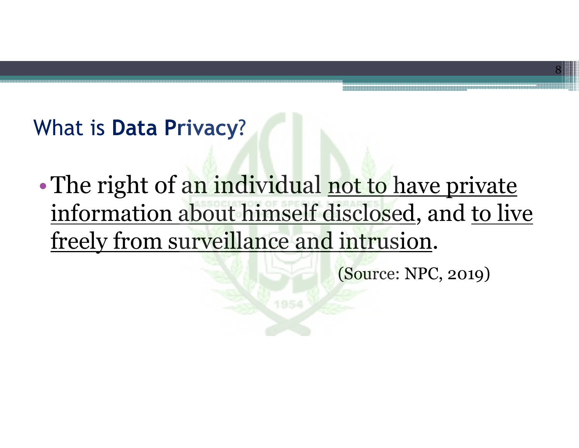### What is **Data Privacy**?

• The right of an individual not to have private information about himself disclosed, and to live freely from surveillance and intrusion.

(Source: NPC, 2019)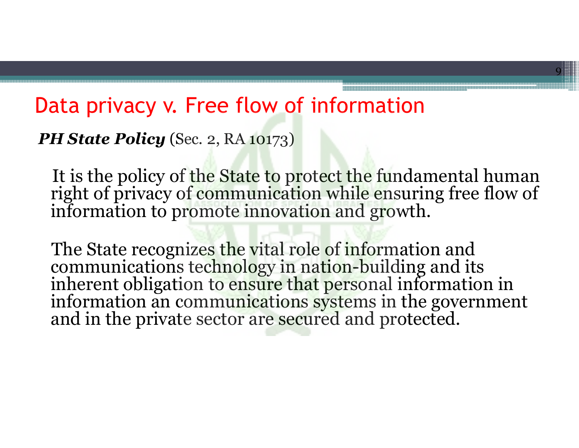### Data privacy v. Free flow of information

*PH State Policy* (Sec. 2, RA 10173)

It is the policy of the State to protect the fundamental human right of privacy of communication while ensuring free flow of information to promote innovation and growth.

9

The State recognizes the vital role of information and<br>communications technology in nation-building and its<br>inherent obligation to ensure that personal information in<br>information an communications systems in the government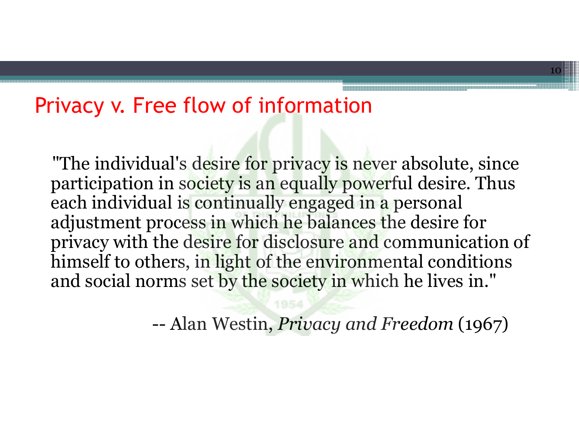### Privacy v. Free flow of information

"The individual's desire for privacy is never absolute, since participation in society is an equally powerful desire. Thus each individual is continually engaged in a personal adjustment proce<mark>ss in which he balances t</mark>he desire for privacy with the desire for disclosure and communication of himself to others, in light of the environmental conditions and social norms set by the society in which he lives in."

> --Alan Westin, *Privacy and Freedom* (1967)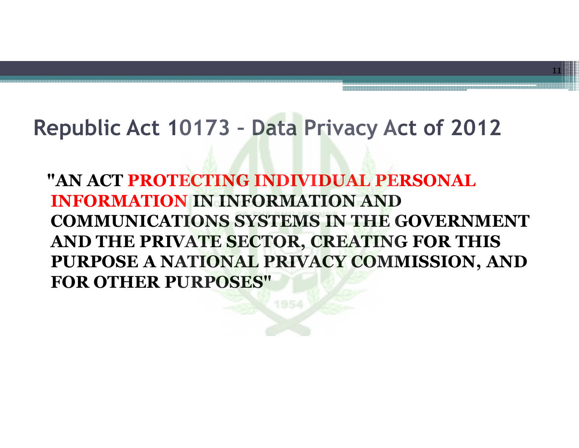### **Republic Act 10173 – Data Privacy Act of 2012**

**"AN ACT PROTECTING INDIVIDUAL PERSONAL INFORMATION IN INFORMATION AND COMMUNICATIONS SYSTEMS IN THE GOVERNMENT AND THE PRIVATE SECTOR, CREATING FOR THIS PURPOSE A NATIONAL PRIVACY COMMISSION, AND FOR OTHER PURPOSES"**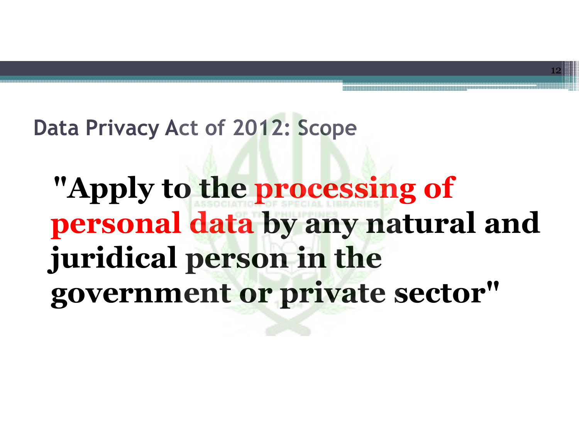### **Data Privacy Act of 2012: Scope**

# **"Apply to the processing of personal data by any natural and juridical person in the government or private sector"**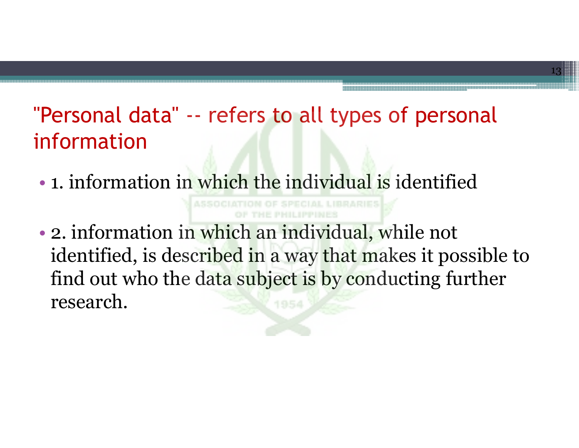### "Personal data" -- refers to all types of personal information

13

•• 1. information in which the individual is identified

• 2. information in which an individual, while not identified, is described in a way that makes it possible to find out who the data subject is by conducting further research.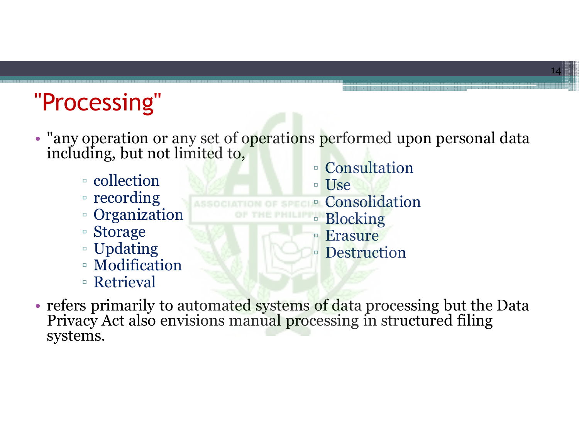## "Processing"

- "any operation or any set of operations performed upon personal data including, but not limited to,
	- collection
	- recording
	- Organization
	- Storage
	- Updating
	- Modification
	- Retrieval

▫ Consultation ▫ Use ▫ Consolidation ▫ Blocking □ Erasure **Destruction** 

14

• refers primarily to automated systems of data processing but the Data Privacy Act also envisions manual processing in structured filing systems.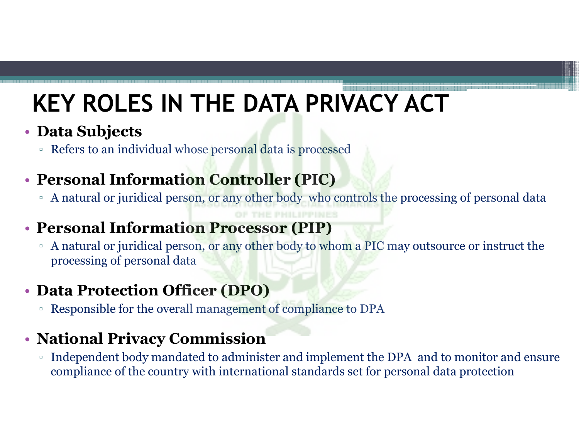## **KEY ROLES IN THE DATA PRIVACY ACT**

#### • **Data Subjects**

□ Refers to an individual whose personal data is processed

#### • **Personal Information Controller (PIC)**

□ A natural or juridical person, or any other body who controls the processing of personal data

#### • **Personal Information Processor (PIP)**

□ A natural or juridical person, or any other body to whom a PIC may outsource or instruct the processing of personal data

#### • **Data Protection Officer (DPO)**

▫ Responsible for the overall management of compliance to DPA

#### • **National Privacy Commission**

 $\blacksquare$  Independent body mandated to administer and implement the DPA  $\blacksquare$  and to monitor and ensure  $\Box$ compliance of the country with international standards set for personal data protection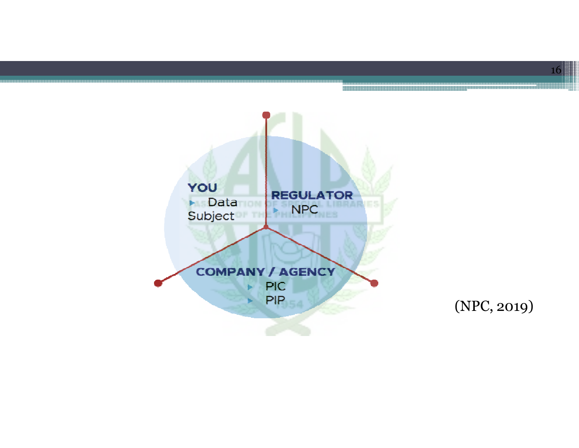

(NPC, 2019)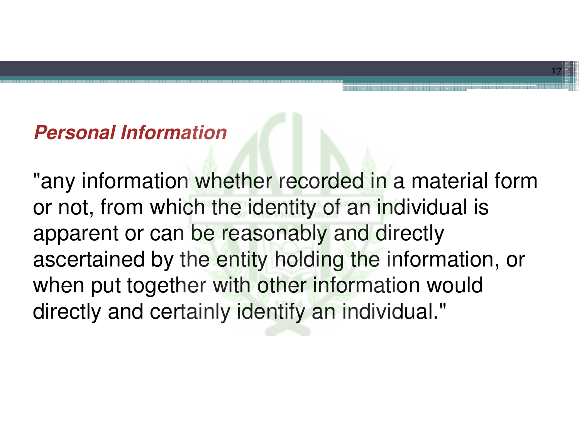#### **Personal Information**

"any information whether recorded in a material form or not, from which the identity of an individual is apparent or can be reasonably and directly ascertained by the entity holding the information, or when put together with other information would directly and certainly identify an individual."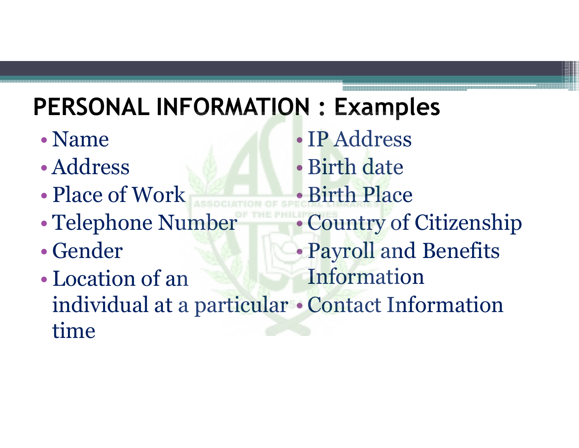## **PERSONAL INFORMATION : Examples**

- •• Name
- •Address
- •• Place of Work
- •Telephone Number
- •Gender
- • Location of an individual at a particular time Information •Contact Information

•IP Address•Birth date •Birth Place• Country of Citizenship•Payroll and Benefits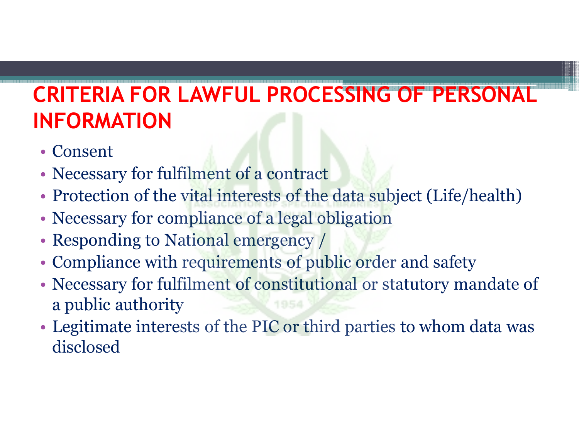### **CRITERIA FOR LAWFUL PROCESSING OF PERSONAL INFORMATION**

- Consent
- Necessary for fulfilment of a contract
- Protection of the vital interests of the data subject (Life/health)
- Necessary for compliance of a legal obligation
- Responding to National emergency /
- Compliance with requirements of public order and safety
- Necessary for fulfilment of constitutional or statutory mandate of a public authority
- Legitimate interests of the PIC or third parties to whom data was disclosed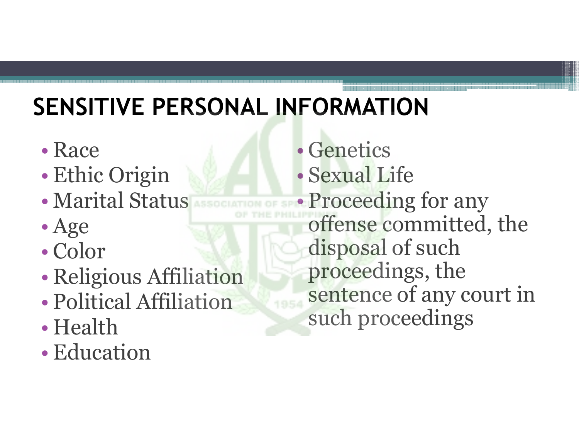## **SENSITIVE PERSONAL INFORMATION**

- •• Race
- •Ethic Origin
- Marıtal Sta Marital Status
- •Age
- $\cdot$  Co • Color
- •Religious Affiliation
- Political Attiliation Political Affiliation
- •• Health
- •• Education

 Genetics $\bullet$  Sexual Life $\bullet$ • Proceeding for any • Proceedin offense committed, the disposal of such proceedings, the sentence of any court in 1954 such proceedings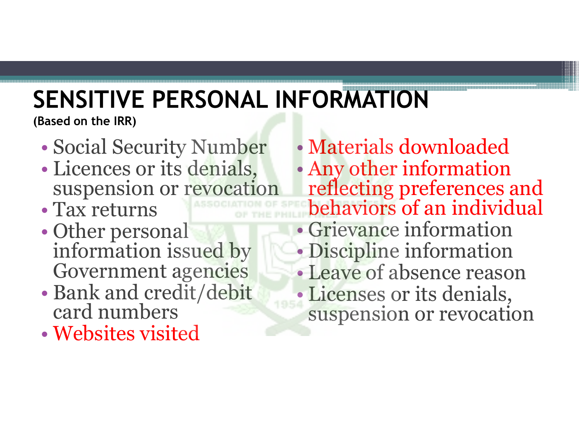# **SENSITIVE PERSONAL INFORMATION**

**(Based on the IRR)** 

- •Social Security Number
- • Licences or its denials, suspension or revocation
- Tax returns
- $\bullet$  ( )ther ners Other personal information issued by Government agencies
- Bank and credit/deb Bank and credit/debit card numbers
- $\bullet$  Websites visi Websites visited

• Materials downloaded• Any other informatio Any other information reflecting preferences and behaviors of an individual •• Grievance information • Discipline information •• Leave of absence reason • Licenses or its denials, suspension or revocation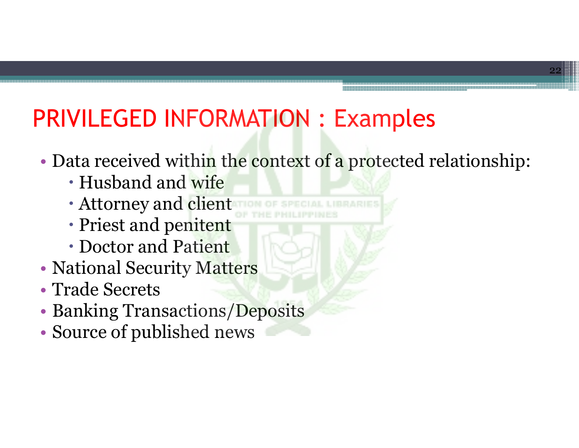### PRIVILEGED INFORMATION : Examples

•• Data received within the context of a protected relationship:<br>• Hushand and wife

- Husband and wife
- Attorney and client
- Priest and penitent
- Doctor and Pati<mark>ent</mark>
- •• National Security M<mark>atter</mark>s
- •• Trade Secrets
- •• Banking Transactions/Deposits
- •Source of published news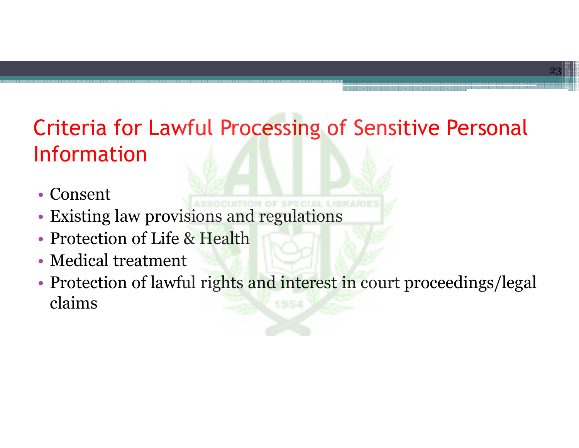### Criteria for Lawful Processing of Sensitive Personal Information

- Consent
- Existing law provisions and regulations
- Protection of Life & Health
- Medical treatment
- Protection of lawful rights and interest in court proceedings/legal claims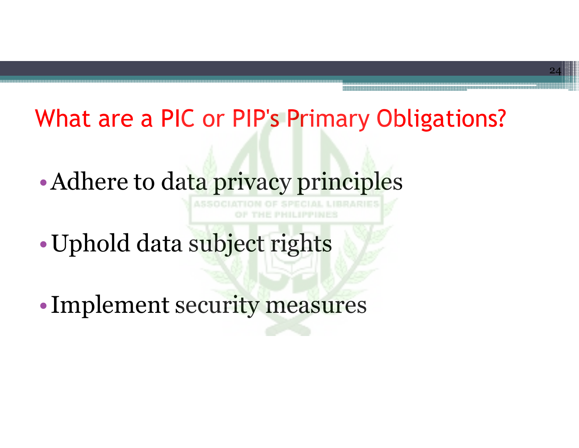### What are a PIC or PIP's Primary Obligations?

•Adhere to data privacy principles

- Uphold data subject rights
- Implement security measures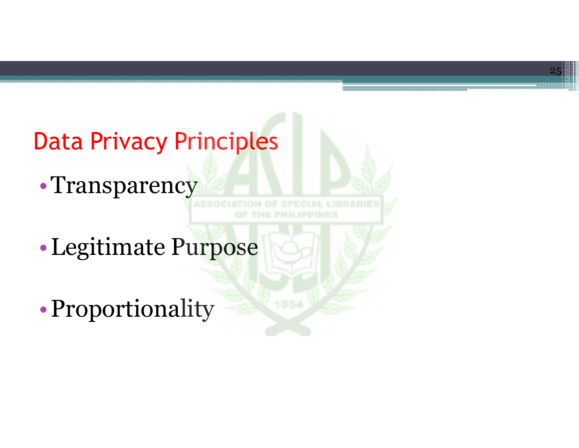

1954

25

•Legitimate Purpose

•Proportionality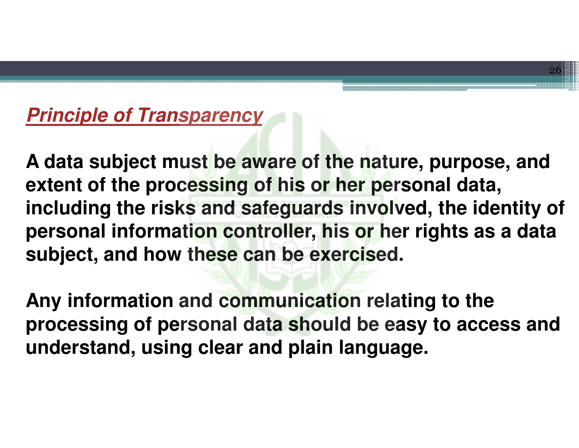### **Principle of Transparency**

**A data subject must be aware of the nature, purpose, and extent of the processing of his or her personal data, including the risks and safeguards involved, the identity of personal information controller, his or her rights as a data subject, and how these can be exercised.** 

26

**Any information and communication relating to the processing of personal data should be easy to access and understand, using clear and plain language.**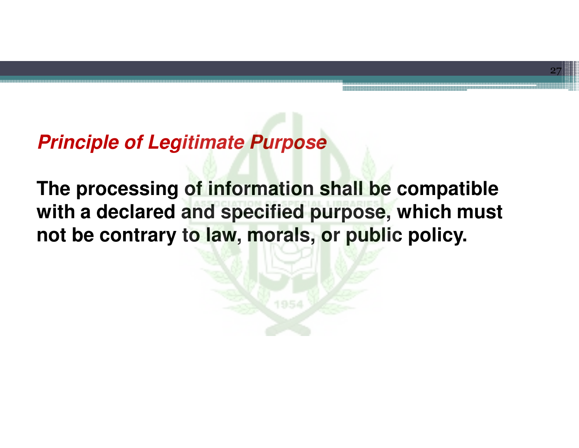#### **Principle of Legitimate Purpose**

**The processing of information shall be compatible with a declared and specified purpose, which must not be contrary to law, morals, or public policy.**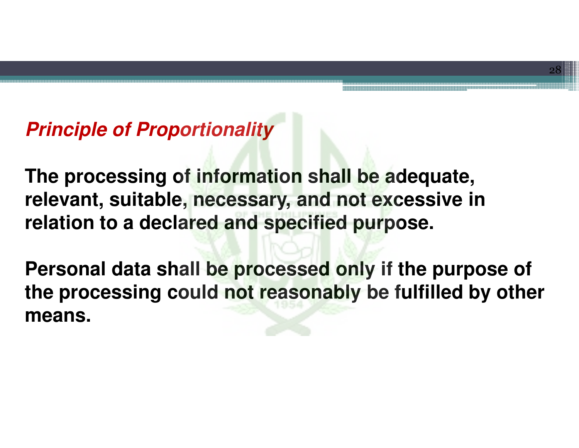### **Principle of Proportionality**

**The processing of information shall be adequate, relevant, suitable, necessary, and not excessive in relation to a declared and specified purpose.** 

**Personal data shall be processed only if the purpose of the processing could not reasonably be fulfilled by other means.**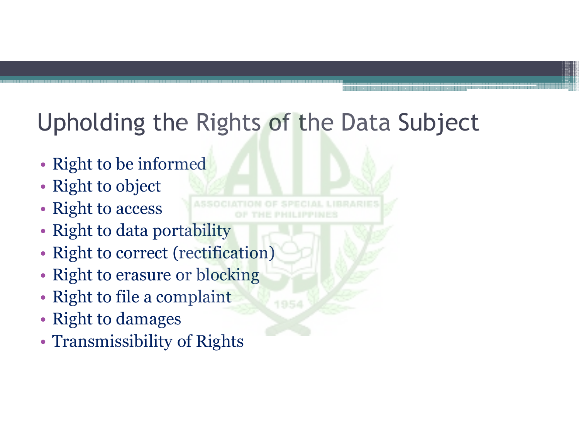### Upholding the Rights of the Data Subject

- Right to be informed
- Right to object
- Right to access
- Right to data portability
- Right to correct (rectification)
- Right to erasure or blocking
- Right to file a complaint
- Right to damages
- Transmissibility of Rights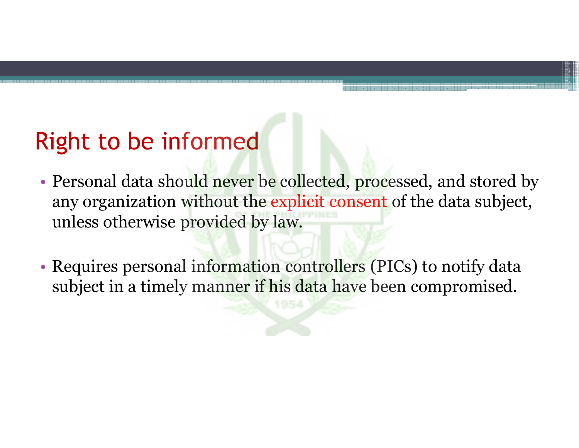### Right to be informed

- Personal data should never be collected, processed, and stored by any organization without the explicit consent of the data subject, unless otherwise provided by law.
- Requires personal information controllers (PICs) to notify data subject in a timely manner if his data have been compromised.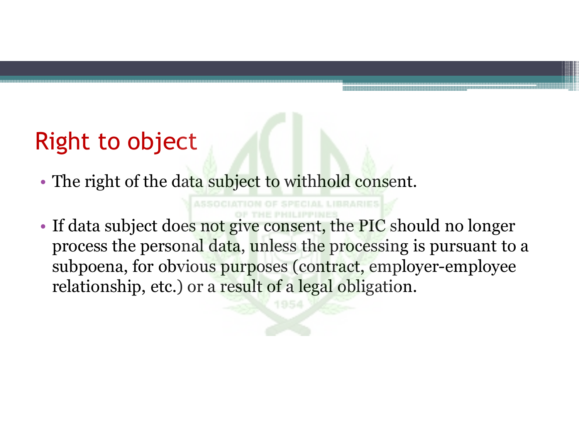### Right to object

- The right of the da<mark>ta subject to wi</mark>thhold consent.
- If data subject does not give consent, the PIC should no longer process the personal data, unless the processing is pursuant to a subpoena, for obvious purposes (contract, employer-employee relationship, etc.) or a result of a legal obligation.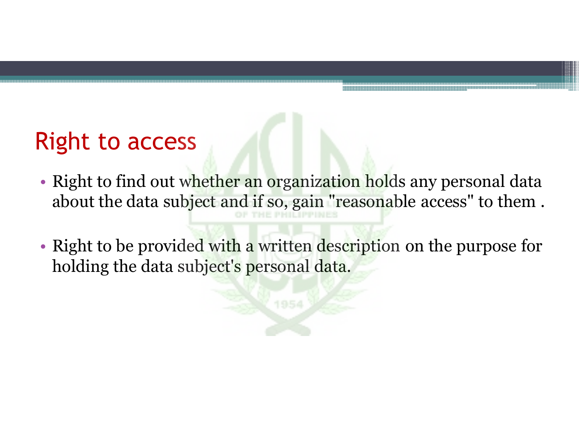### Right to access

- Right to find out w<mark>hether an orga</mark>niz<mark>ation hol</mark>ds any personal data about the data subject and if so, gain "reasonable access" to them.
- Right to be provided with a written description on the purpose for holding the data subject's personal data.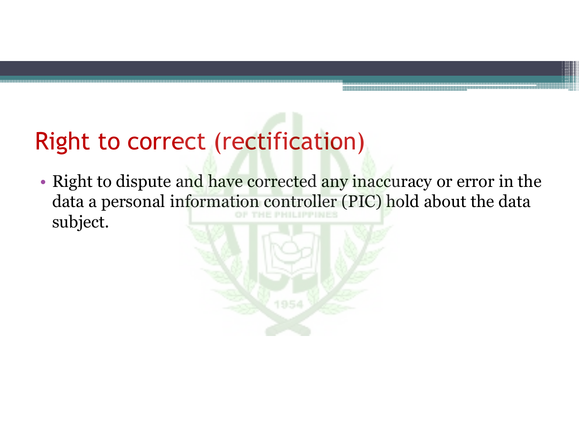### Right to correct (rectification)

• Right to dispute and have corrected any inaccuracy or error in the<br>data a personal information controller (PIC) hold about the data data a personal information controller (PIC) hold about the data subject.

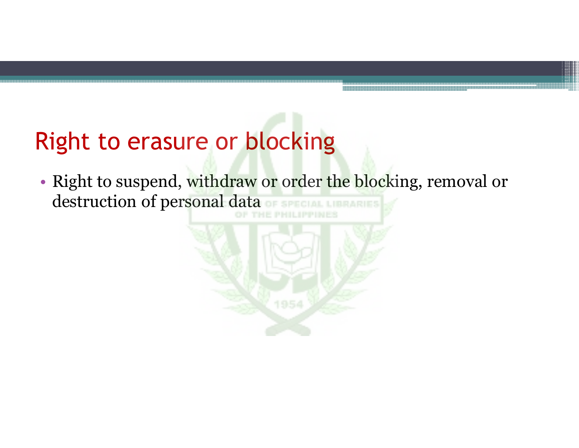### Right to erasure or blocking

• Right to suspend, withdraw or order the blocking, removal or destruction of personal data

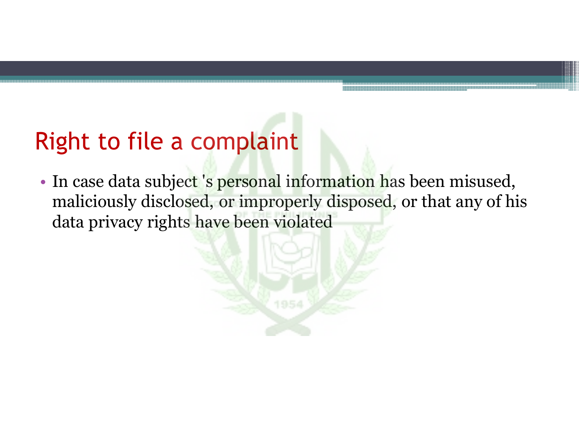### Right to file a complaint

• In case data subject 's personal information has been misused,<br>maliciously disclosed, or improperly disposed, or that any of hi maliciously disclosed, or improperly disposed, or that any of his data privacy rights have been violated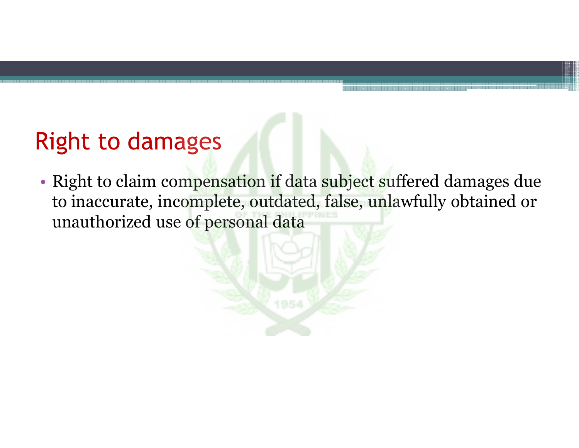### Right to damages

• Right to claim compensation if data subject suffered damages due to inaccurate, incomplete, outdated, false, unlawfully obtained or unauthorized use of personal data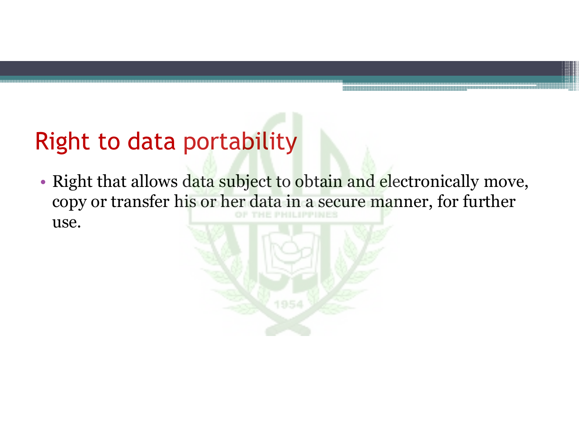### Right to data portability

• Right that allows d<mark>ata subje</mark>ct to obtain and electronically move, copy or transfer his or her data in a secure manner, for further use.

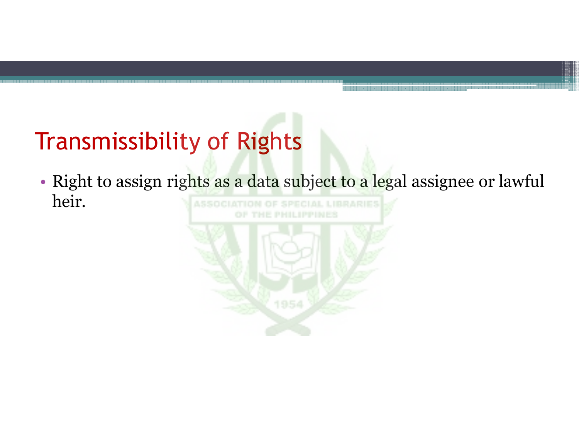## Transmissibility of Rights

• Right to assign rights as a data subject to a legal assignee or lawful heir.

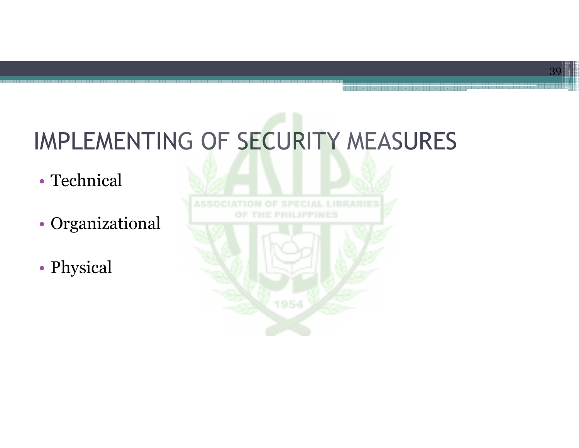## IMPLEMENTING OF SECURITY MEASURES

- Technical
- Organizational
- Physical

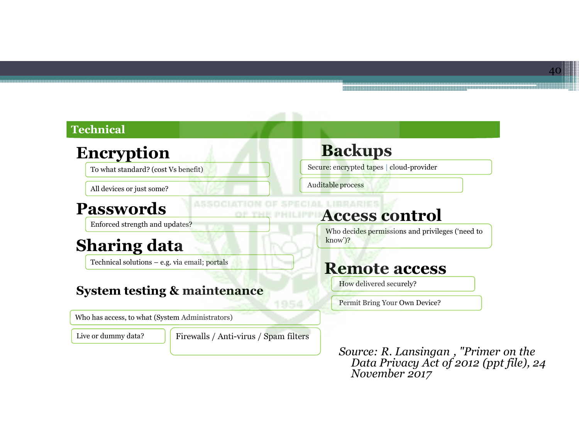#### **Technical**

#### **Encryption**

To what standard? (cost Vs benefit)

All devices or just some?

#### **Passwords**

Enforced strength and updates?

#### **Sharing data**

Technical solutions – e.g. via email; portals

#### **System testing & maintenance**

Who has access, to what (System Administrators)

Live or dummy data?

Firewalls / Anti-virus / Spam filters

#### **Backups**

Secure: encrypted tapes **|** cloud-provider

Auditable process

#### **Access control**

Who decides permissions and privileges ('need to know')?

#### **Remote access**

How delivered securely?

Permit Bring Your Own Device?

*Source: R. Lansingan , "Primer on the Data Privacy Act of 2012 (ppt file), 24 November 2017*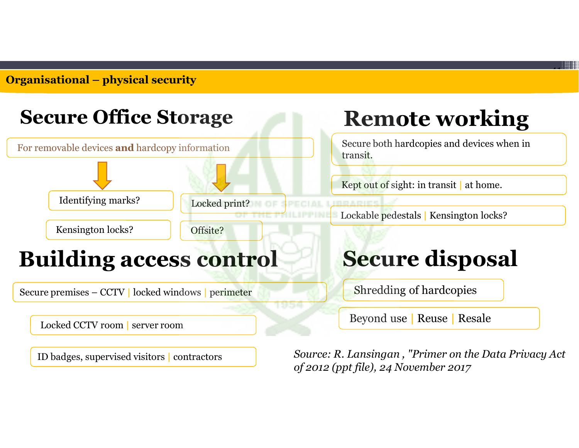**Organisational – <sup>p</sup>hysical security**



ID badges, supervised visitors **|** contractors

*Source: R. Lansingan , "Primer on the Data Privacy Act of 2012 (ppt file), 24 November 2017*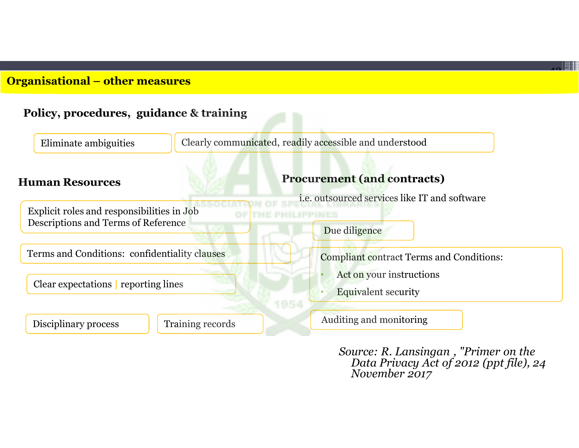#### **Organisational – other measures**



*Source: R. Lansingan , "Primer on the Data Privacy Act of 2012 (ppt file), 24 November 2017*

 $\overline{\phantom{a}}$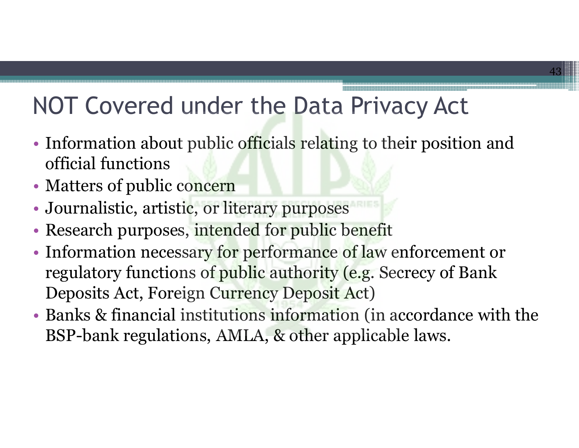## NOT Covered under the Data Privacy Act

• Information about public officials relating to their position and official functions

- Matters of public concern
- Journalistic, artistic, or literary purposes
- Research purposes, intended for public benefit
- Information necessary for performance of law enforcement or regulatory functions of public authority (e.g. Secrecy of Bank Deposits Act, Foreign Currency Deposit Act)
- Banks & financial institutions information (in accordance with the BSP-bank regulations, AMLA, & other applicable laws.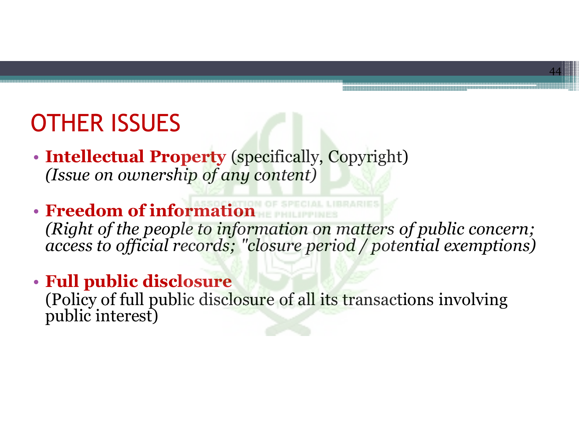### OTHER ISSUES

- **Intellectual Property** (specifically, Copyright) *(Issue on ownership of any content)*
- **Freedom of information**  *(Right of the people to information on matters of public concern; access to official records; "closure period / potential exemptions)*

44

• **Full public disclosure** 

(Policy of full public disclosure of all its transactions involving public interest)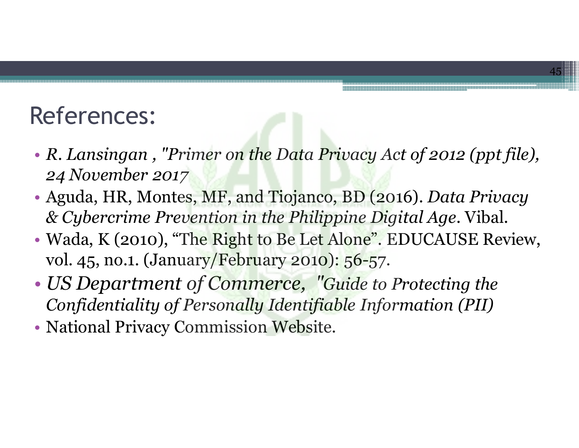### References:

• *R. Lansingan , "Primer on the Data Privacy Act of 2012 (ppt file), 24 November 2017*

- Aguda, HR, Montes, MF, and Tiojanco, BD (2016). *Data Privacy & Cybercrime Prevention in the Philippine Digital Age*. Vibal.
- Wada, K (2010), "The Right to Be Let Alone". EDUCAUSE Review, vol. 45, no.1. (January/February 2010): 56-57.
- • *US Department of Commerce, "Guide to Protecting the Confidentiality of Personally Identifiable Information (PII)*
- National Privacy Commission Website.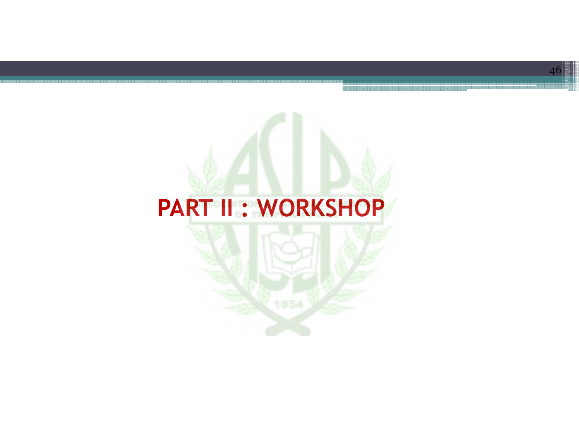### **PART II : WORKSHOP**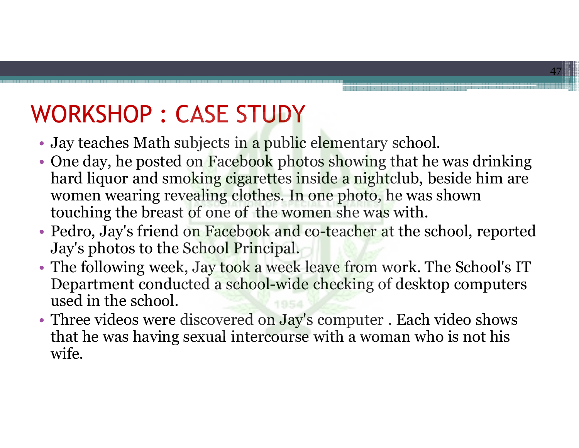### WORKSHOP : CASE STUDY

- Jay teaches Math subjects in a public elementary school.
- One day, he posted on Facebook photos showing that he was drinking<br>hard liquor and smoking cigarettes inside a nightclub, beside him are hard liquor and smoking cigarettes inside a nightclub, beside him are women wearing revealing clothes. In one photo, he was shown touching the breast of one of the women she was with.

- Pedro, Jay's friend on Facebook and co-teacher at the school, reported<br>Jay's photos to the School Principal Jay's photos to the School Principal.
- The following week, Jay took a week leave from work. The School's IT Department conducted a school-wide checking of desktop computers used in the school.
- Three videos were discovered on Jay's computer . Each video shows that he was having sexual intercourse with a woman who is not his wife.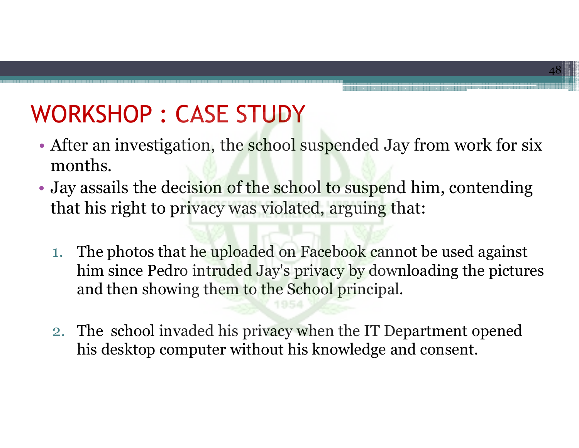### WORKSHOP : CASE STUDY

• After an investigation, the school suspended Jay from work for six months.

- Jay assails the deci<mark>sion of the school to suspe</mark>nd him, contending that his right to privacy was violated, arguing that:
	- 1. The photos that he uploaded on Facebook cannot be used against<br>him since Pedro intruded Jay's privacy by downloading the picture him since Pedro intruded Jay's privacy by downloading the pictures and then showing them to the School principal.
	- 2. The school invaded his privacy when the IT Department opened his desktop computer without his knowledge and consent.